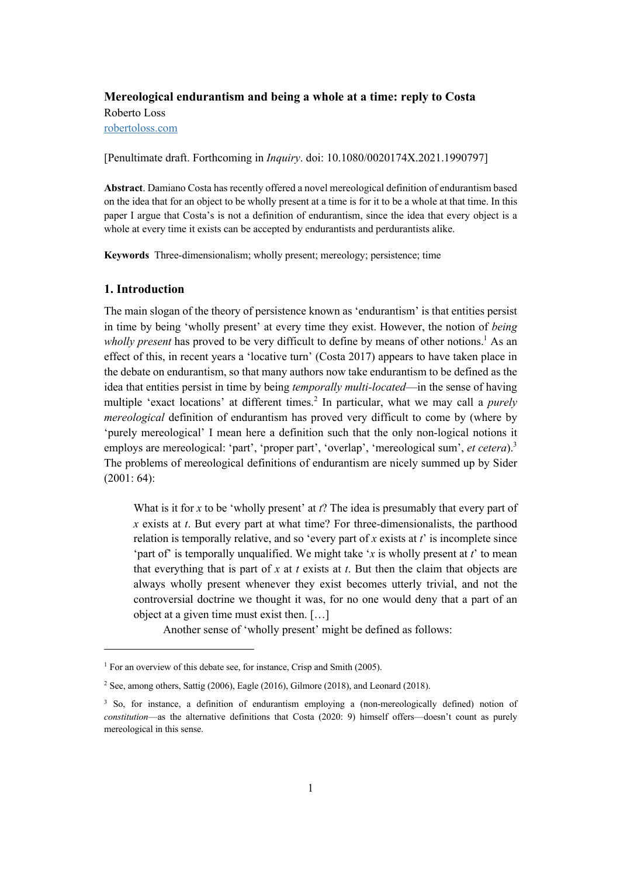# **Mereological endurantism and being a whole at a time: reply to Costa** Roberto Loss robertoloss.com

[Penultimate draft. Forthcoming in *Inquiry*. doi: 10.1080/0020174X.2021.1990797]

**Abstract**. Damiano Costa has recently offered a novel mereological definition of endurantism based on the idea that for an object to be wholly present at a time is for it to be a whole at that time. In this paper I argue that Costa's is not a definition of endurantism, since the idea that every object is a whole at every time it exists can be accepted by endurantists and perdurantists alike.

**Keywords** Three-dimensionalism; wholly present; mereology; persistence; time

#### **1. Introduction**

The main slogan of the theory of persistence known as 'endurantism' is that entities persist in time by being 'wholly present' at every time they exist. However, the notion of *being wholly present* has proved to be very difficult to define by means of other notions.<sup>1</sup> As an effect of this, in recent years a 'locative turn' (Costa 2017) appears to have taken place in the debate on endurantism, so that many authors now take endurantism to be defined as the idea that entities persist in time by being *temporally multi-located*—in the sense of having multiple 'exact locations' at different times.<sup>2</sup> In particular, what we may call a *purely mereological* definition of endurantism has proved very difficult to come by (where by 'purely mereological' I mean here a definition such that the only non-logical notions it employs are mereological: 'part', 'proper part', 'overlap', 'mereological sum', *et cetera*).<sup>3</sup> The problems of mereological definitions of endurantism are nicely summed up by Sider (2001: 64):

What is it for *x* to be 'wholly present' at *t*? The idea is presumably that every part of *x* exists at *t*. But every part at what time? For three-dimensionalists, the parthood relation is temporally relative, and so 'every part of *x* exists at *t*' is incomplete since 'part of' is temporally unqualified. We might take '*x* is wholly present at *t*' to mean that everything that is part of *x* at *t* exists at *t*. But then the claim that objects are always wholly present whenever they exist becomes utterly trivial, and not the controversial doctrine we thought it was, for no one would deny that a part of an object at a given time must exist then. […]

Another sense of 'wholly present' might be defined as follows:

<sup>&</sup>lt;sup>1</sup> For an overview of this debate see, for instance, Crisp and Smith (2005).

<sup>2</sup> See, among others, Sattig (2006), Eagle (2016), Gilmore (2018), and Leonard (2018).

<sup>&</sup>lt;sup>3</sup> So, for instance, a definition of endurantism employing a (non-mereologically defined) notion of *constitution*—as the alternative definitions that Costa (2020: 9) himself offers—doesn't count as purely mereological in this sense.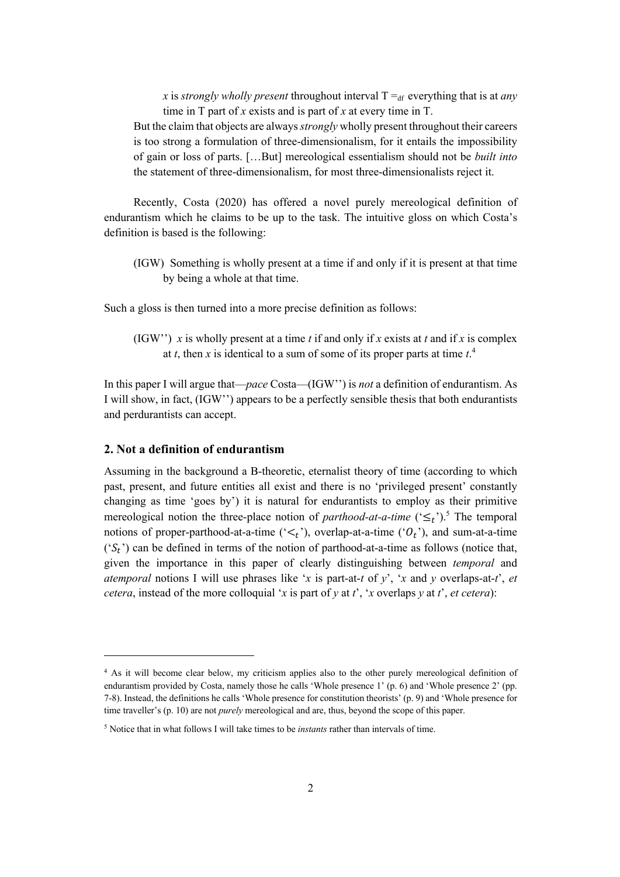*x* is *strongly wholly present* throughout interval  $T =_{df}$  everything that is at *any* time in T part of *x* exists and is part of *x* at every time in T.

But the claim that objects are always *strongly* wholly present throughout their careers is too strong a formulation of three-dimensionalism, for it entails the impossibility of gain or loss of parts. […But] mereological essentialism should not be *built into* the statement of three-dimensionalism, for most three-dimensionalists reject it.

Recently, Costa (2020) has offered a novel purely mereological definition of endurantism which he claims to be up to the task. The intuitive gloss on which Costa's definition is based is the following:

(IGW) Something is wholly present at a time if and only if it is present at that time by being a whole at that time.

Such a gloss is then turned into a more precise definition as follows:

(IGW') *x* is wholly present at a time *t* if and only if *x* exists at *t* and if *x* is complex at *t*, then *x* is identical to a sum of some of its proper parts at time *t*. 4

In this paper I will argue that—*pace* Costa—(IGW'') is *not* a definition of endurantism. As I will show, in fact, (IGW'') appears to be a perfectly sensible thesis that both endurantists and perdurantists can accept.

### **2. Not a definition of endurantism**

Assuming in the background a B-theoretic, eternalist theory of time (according to which past, present, and future entities all exist and there is no 'privileged present' constantly changing as time 'goes by') it is natural for endurantists to employ as their primitive mereological notion the three-place notion of *parthood-at-a-time*  $({\leq_L})^5$ .<sup>5</sup> The temporal notions of proper-parthood-at-a-time  $(\leq_t)$ , overlap-at-a-time  $(0_t)$ , and sum-at-a-time  $(S_t)$  can be defined in terms of the notion of parthood-at-a-time as follows (notice that, given the importance in this paper of clearly distinguishing between *temporal* and *atemporal* notions I will use phrases like '*x* is part-at-*t* of *y*', '*x* and *y* overlaps-at-*t*', *et cetera*, instead of the more colloquial '*x* is part of *y* at *t*', '*x* overlaps *y* at *t*', *et cetera*):

<sup>4</sup> As it will become clear below, my criticism applies also to the other purely mereological definition of endurantism provided by Costa, namely those he calls 'Whole presence 1' (p. 6) and 'Whole presence 2' (pp. 7-8). Instead, the definitions he calls 'Whole presence for constitution theorists' (p. 9) and 'Whole presence for time traveller's (p. 10) are not *purely* mereological and are, thus, beyond the scope of this paper.

<sup>5</sup> Notice that in what follows I will take times to be *instants* rather than intervals of time.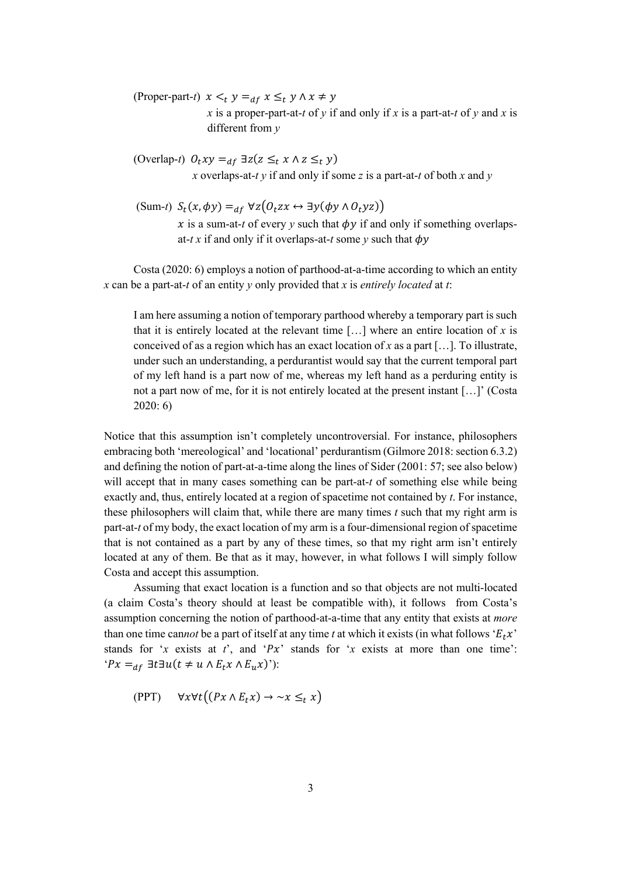(Proper-part-*t*)  $x \leq_t y =_{df} x \leq_t y \land x \neq y$ *x* is a proper-part-at-*t* of *y* if and only if *x* is a part-at-*t* of *y* and *x* is different from *y*

(Overlap-*t*)  $0_t xy =_{df} \exists z (z \leq_t x \land z \leq_t y)$ *x* overlaps-at-*t y* if and only if some *z* is a part-at-*t* of both *x* and *y*

(Sum-*t*) 
$$
S_t(x, \phi y) =_{df} \forall z (O_t zx \leftrightarrow \exists y (\phi y \land O_t yz))
$$
  
*x* is a sum-at-*t* of every *y* such that  $\phi y$  if and only if something overlaps-at-*t* x if and only if it overlaps-at-*t* some *y* such that  $\phi y$ 

Costa (2020: 6) employs a notion of parthood-at-a-time according to which an entity *x* can be a part-at-*t* of an entity *y* only provided that *x* is *entirely located* at *t*:

I am here assuming a notion of temporary parthood whereby a temporary part is such that it is entirely located at the relevant time […] where an entire location of *x* is conceived of as a region which has an exact location of *x* as a part […]. To illustrate, under such an understanding, a perdurantist would say that the current temporal part of my left hand is a part now of me, whereas my left hand as a perduring entity is not a part now of me, for it is not entirely located at the present instant […]' (Costa 2020: 6)

Notice that this assumption isn't completely uncontroversial. For instance, philosophers embracing both 'mereological' and 'locational' perdurantism (Gilmore 2018: section 6.3.2) and defining the notion of part-at-a-time along the lines of Sider (2001: 57; see also below) will accept that in many cases something can be part-at-*t* of something else while being exactly and, thus, entirely located at a region of spacetime not contained by *t*. For instance, these philosophers will claim that, while there are many times *t* such that my right arm is part-at-*t* of my body, the exact location of my arm is a four-dimensional region of spacetime that is not contained as a part by any of these times, so that my right arm isn't entirely located at any of them. Be that as it may, however, in what follows I will simply follow Costa and accept this assumption.

Assuming that exact location is a function and so that objects are not multi-located (a claim Costa's theory should at least be compatible with), it follows from Costa's assumption concerning the notion of parthood-at-a-time that any entity that exists at *more* than one time cannot be a part of itself at any time *t* at which it exists (in what follows ' $E_t x$ ') stands for '*x* exists at *t*', and ' $Px$ ' stands for '*x* exists at more than one time':  $P x =_{df} \exists t \exists u (t \neq u \wedge E_t x \wedge E_u x)$ '):

$$
(PPT) \quad \forall x \forall t \big( (Px \land E_t x) \rightarrow \neg x \leq_t x \big)
$$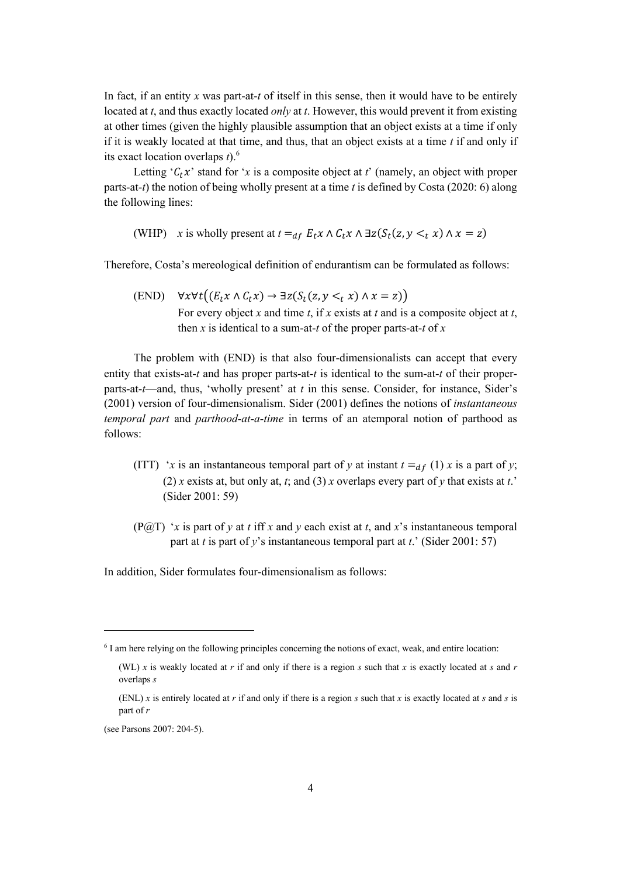In fact, if an entity *x* was part-at-*t* of itself in this sense, then it would have to be entirely located at *t*, and thus exactly located *only* at *t*. However, this would prevent it from existing at other times (given the highly plausible assumption that an object exists at a time if only if it is weakly located at that time, and thus, that an object exists at a time *t* if and only if its exact location overlaps *t*). 6

Letting ' $C_t x$ ' stand for '*x* is a composite object at *t*' (namely, an object with proper parts-at-*t*) the notion of being wholly present at a time *t* is defined by Costa (2020: 6) along the following lines:

(WHP) *x* is wholly present at  $t =_{df} E_t x \wedge C_t x \wedge \exists z (S_t(z, y \leq t x) \wedge x = z)$ 

Therefore, Costa's mereological definition of endurantism can be formulated as follows:

(END)  $\forall x \forall t ((E_t x \land C_t x) \rightarrow \exists z (S_t(z, y <_t x) \land x = z))$ For every object *x* and time *t*, if *x* exists at *t* and is a composite object at *t*, then *x* is identical to a sum-at-*t* of the proper parts-at-*t* of *x*

The problem with (END) is that also four-dimensionalists can accept that every entity that exists-at-*t* and has proper parts-at-*t* is identical to the sum-at-*t* of their properparts-at-*t*—and, thus, 'wholly present' at *t* in this sense. Consider, for instance, Sider's (2001) version of four-dimensionalism. Sider (2001) defines the notions of *instantaneous temporal part* and *parthood-at-a-time* in terms of an atemporal notion of parthood as follows:

- (ITT) '*x* is an instantaneous temporal part of *y* at instant  $t =_{df} (1) x$  is a part of *y*; (2) *x* exists at, but only at, *t*; and (3) *x* overlaps every part of *y* that exists at *t*.' (Sider 2001: 59)
- (P@T) '*x* is part of *y* at *t* iff *x* and *y* each exist at *t*, and *x*'s instantaneous temporal part at *t* is part of *y*'s instantaneous temporal part at *t*.' (Sider 2001: 57)

In addition, Sider formulates four-dimensionalism as follows:

<sup>6</sup> I am here relying on the following principles concerning the notions of exact, weak, and entire location:

<sup>(</sup>WL) *x* is weakly located at *r* if and only if there is a region *s* such that *x* is exactly located at *s* and *r* overlaps *s*

<sup>(</sup>ENL) *x* is entirely located at *r* if and only if there is a region *s* such that *x* is exactly located at *s* and *s* is part of *r*

<sup>(</sup>see Parsons 2007: 204-5).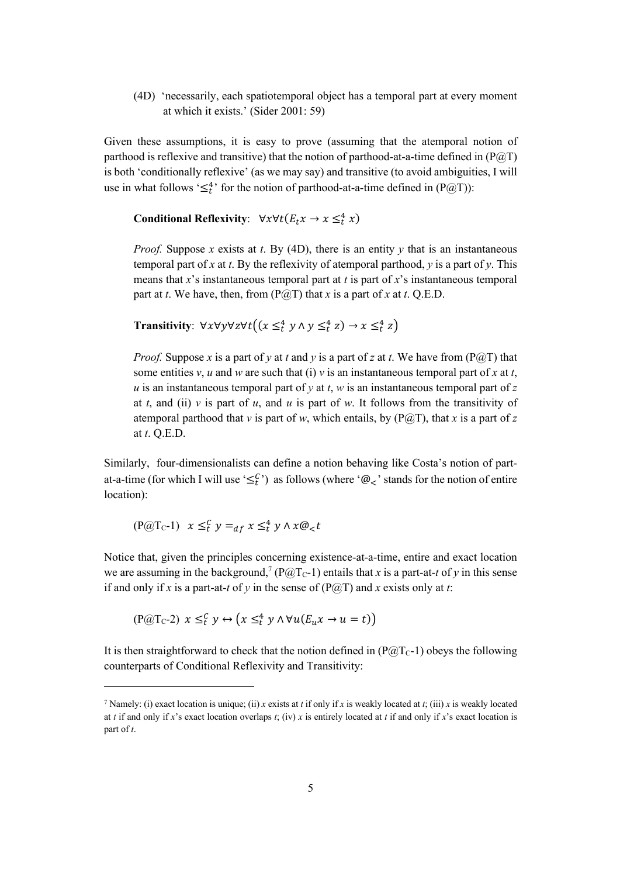(4D) 'necessarily, each spatiotemporal object has a temporal part at every moment at which it exists.' (Sider 2001: 59)

Given these assumptions, it is easy to prove (assuming that the atemporal notion of parthood is reflexive and transitive) that the notion of parthood-at-a-time defined in  $(P@T)$ is both 'conditionally reflexive' (as we may say) and transitive (to avoid ambiguities, I will use in what follows ' $\leq_t^4$ ' for the notion of parthood-at-a-time defined in (P@T)):

**Conditional Reflexivity**:  $\forall x \forall t (E_t x \rightarrow x \leq_t^4 x)$ 

*Proof.* Suppose *x* exists at *t*. By (4D), there is an entity  $\gamma$  that is an instantaneous temporal part of *x* at *t*. By the reflexivity of atemporal parthood, *y* is a part of *y*. This means that *x*'s instantaneous temporal part at *t* is part of *x*'s instantaneous temporal part at *t*. We have, then, from  $(P@T)$  that *x* is a part of *x* at *t*. Q.E.D.

**Transitivity:**  $\forall x \forall y \forall z \forall t ((x \leq_t^4 y \land y \leq_t^4 z) \rightarrow x \leq_t^4 z)$ 

*Proof.* Suppose x is a part of y at t and y is a part of z at t. We have from ( $P(\hat{a})$ ) that some entities *v*, *u* and *w* are such that (i) *v* is an instantaneous temporal part of *x* at *t*, *u* is an instantaneous temporal part of *y* at *t*, *w* is an instantaneous temporal part of *z* at *t*, and (ii) *v* is part of *u*, and *u* is part of *w*. It follows from the transitivity of atemporal parthood that *v* is part of *w*, which entails, by  $(P@T)$ , that *x* is a part of *z* at *t*. Q.E.D.

Similarly, four-dimensionalists can define a notion behaving like Costa's notion of partat-a-time (for which I will use ' $\leq_t^C$ ) as follows (where ' $\mathcal{Q}_<$ ' stands for the notion of entire location):

$$
(\mathbf{P} @ \mathbf{T} \mathbf{c} \text{-} \mathbf{1}) \quad x \leq_t^C y =_{df} x \leq_t^4 y \land x \mathcal{Q}_< t
$$

Notice that, given the principles concerning existence-at-a-time, entire and exact location we are assuming in the background,<sup>7</sup> ( $P(\widehat{a}/T_C-1)$ ) entails that *x* is a part-at-*t* of *y* in this sense if and only if *x* is a part-at-*t* of *y* in the sense of  $(P@T)$  and *x* exists only at *t*:

$$
(\mathbf{P} @ \mathbf{T}_{\mathbf{C}} \text{-} 2) \ x \leq_t^C y \leftrightarrow (x \leq_t^4 y \land \forall u (E_u x \to u = t))
$$

It is then straightforward to check that the notion defined in  $(P@Tc-1)$  obeys the following counterparts of Conditional Reflexivity and Transitivity:

<sup>&</sup>lt;sup>7</sup> Namely: (i) exact location is unique; (ii) *x* exists at *t* if only if *x* is weakly located at *t*; (iii) *x* is weakly located at *t* if and only if *x*'s exact location overlaps *t*; (iv) *x* is entirely located at *t* if and only if *x*'s exact location is part of *t*.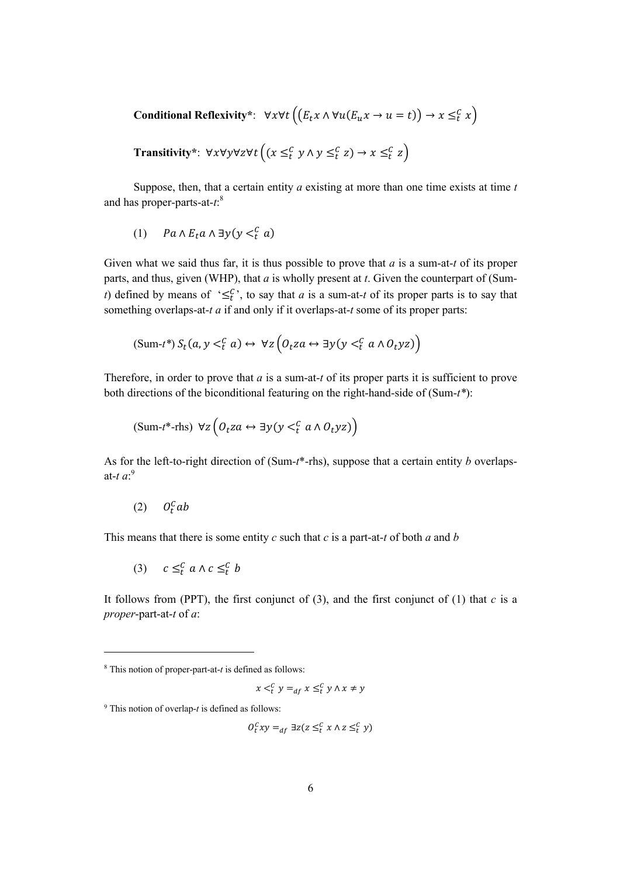Conditional Reflexivity\*: 
$$
\forall x \forall t \left( (E_t x \land \forall u (E_u x \to u = t)) \to x \leq_t^c x \right)
$$
  
Transitivity\*:  $\forall x \forall y \forall z \forall t \left( (x \leq_t^c y \land y \leq_t^c z) \to x \leq_t^c z \right)$ 

Suppose, then, that a certain entity *a* existing at more than one time exists at time *t* and has proper-parts-at-*t*: 8

(1)  $Pa \wedge E_t a \wedge \exists y (y <_t^C a)$ 

Given what we said thus far, it is thus possible to prove that *a* is a sum-at-*t* of its proper parts, and thus, given (WHP), that *a* is wholly present at *t*. Given the counterpart of (Sum*t*) defined by means of ' $\leq_t^c$ , to say that *a* is a sum-at-*t* of its proper parts is to say that something overlaps-at-*t a* if and only if it overlaps-at-*t* some of its proper parts:

$$
(\text{Sum-}t^*) S_t(a, y <^c_t a) \leftrightarrow \forall z \left( O_t z a \leftrightarrow \exists y (y <^c_t a \land O_t y z) \right)
$$

Therefore, in order to prove that *a* is a sum-at-*t* of its proper parts it is sufficient to prove both directions of the biconditional featuring on the right-hand-side of (Sum-*t\**):

$$
(\text{Sum-}t^*\text{-rhs}) \ \forall z \left( O_t z a \leftrightarrow \exists y (y <^C_t a \land O_t y z) \right)
$$

As for the left-to-right direction of (Sum-*t*\*-rhs), suppose that a certain entity *b* overlapsat-*t a*: 9

$$
(2) \quad O_t^C ab
$$

This means that there is some entity *c* such that *c* is a part-at-*t* of both *a* and *b*

$$
(3) \quad c \leq_t^c a \land c \leq_t^c b
$$

It follows from (PPT), the first conjunct of  $(3)$ , and the first conjunct of  $(1)$  that *c* is a *proper*-part-at-*t* of *a*:

$$
x <_t^C y =_{af} x \leq_t^C y \land x \neq y
$$

$$
O_t^C xy =_{df} \exists z (z \leq_t^C x \land z \leq_t^C y)
$$

<sup>8</sup> This notion of proper-part-at-*t* is defined as follows:

<sup>9</sup> This notion of overlap-*t* is defined as follows: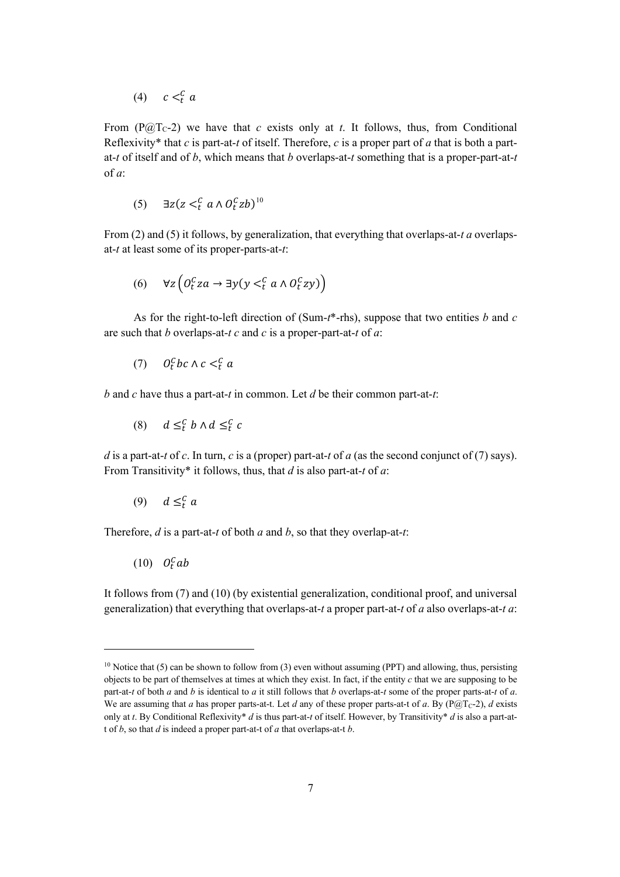(4)  $c <_t^c a$ 

From  $(P@Tc-2)$  we have that *c* exists only at *t*. It follows, thus, from Conditional Reflexivity\* that *c* is part-at-*t* of itself. Therefore, *c* is a proper part of *a* that is both a partat-*t* of itself and of *b*, which means that *b* overlaps-at-*t* something that is a proper-part-at-*t* of *a*:

$$
(5) \quad \exists z (z <_t^C a \land O_t^C z b)^{10}
$$

From (2) and (5) it follows, by generalization, that everything that overlaps-at-*t a* overlapsat-*t* at least some of its proper-parts-at-*t*:

$$
(6) \quad \forall z \left( 0_t^c z a \to \exists y (y <_t^c a \land 0_t^c z y) \right)
$$

As for the right-to-left direction of (Sum-*t*\*-rhs), suppose that two entities *b* and *c* are such that *b* overlaps-at-*t c* and *c* is a proper-part-at-*t* of *a*:

$$
(7) \qquad O_t^C bc \wedge c <_t^C a
$$

*b* and *c* have thus a part-at-*t* in common. Let *d* be their common part-at-*t*:

$$
(8) \t d \leq_t^C b \wedge d \leq_t^C c
$$

*d* is a part-at-*t* of *c*. In turn, *c* is a (proper) part-at-*t* of *a* (as the second conjunct of (7) says). From Transitivity\* it follows, thus, that *d* is also part-at-*t* of *a*:

$$
(9) \quad d \leq_t^c a
$$

Therefore, *d* is a part-at-*t* of both *a* and *b*, so that they overlap-at-*t*:

 $(10)$   $O_t^C$ ab

It follows from (7) and (10) (by existential generalization, conditional proof, and universal generalization) that everything that overlaps-at-*t* a proper part-at-*t* of *a* also overlaps-at-*t a*:

<sup>&</sup>lt;sup>10</sup> Notice that (5) can be shown to follow from (3) even without assuming (PPT) and allowing, thus, persisting objects to be part of themselves at times at which they exist. In fact, if the entity *c* that we are supposing to be part-at-*t* of both *a* and *b* is identical to *a* it still follows that *b* overlaps-at-*t* some of the proper parts-at-*t* of *a*. We are assuming that *a* has proper parts-at-t. Let *d* any of these proper parts-at-t of *a*. By ( $P@T<sub>C</sub>$ -2), *d* exists only at *t*. By Conditional Reflexivity\* *d* is thus part-at-*t* of itself. However, by Transitivity\* *d* is also a part-att of *b*, so that *d* is indeed a proper part-at-t of *a* that overlaps-at-t *b*.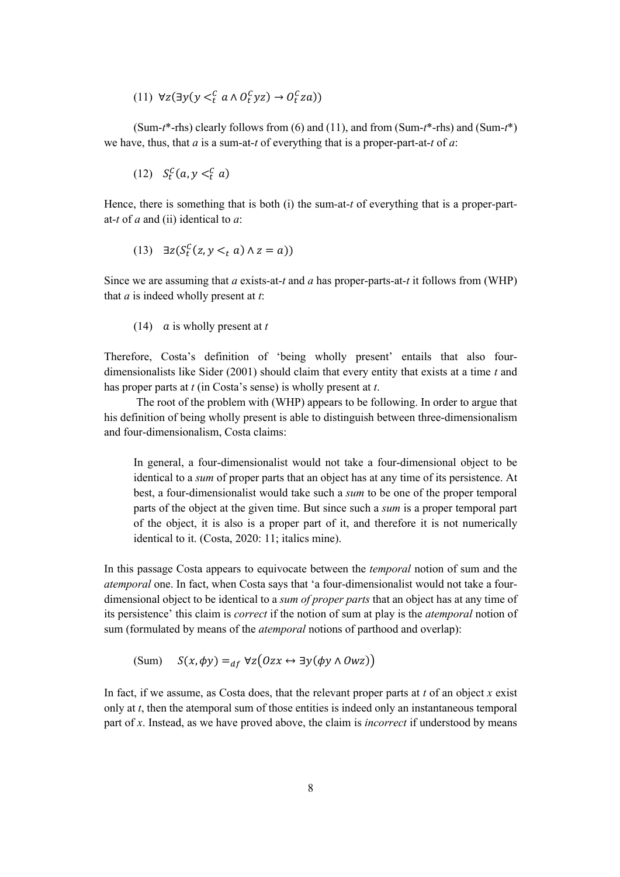(11)  $\forall z (\exists y (y <_t^C a \land 0_t^C yz) \rightarrow 0_t^C z a))$ 

(Sum-*t*\*-rhs) clearly follows from (6) and (11), and from (Sum-*t*\*-rhs) and (Sum-*t*\*) we have, thus, that *a* is a sum-at-*t* of everything that is a proper-part-at-*t* of *a*:

$$
(12) S_t^c(a, y <_t^c a)
$$

Hence, there is something that is both (i) the sum-at-*t* of everything that is a proper-partat-*t* of *a* and (ii) identical to *a*:

$$
(13) \quad \exists z (S_t^C(z, y <_t a) \land z = a))
$$

Since we are assuming that *a* exists-at-*t* and *a* has proper-parts-at-*t* it follows from (WHP) that *a* is indeed wholly present at *t*:

 $(14)$  *a* is wholly present at *t* 

Therefore, Costa's definition of 'being wholly present' entails that also fourdimensionalists like Sider (2001) should claim that every entity that exists at a time *t* and has proper parts at *t* (in Costa's sense) is wholly present at *t*.

The root of the problem with (WHP) appears to be following. In order to argue that his definition of being wholly present is able to distinguish between three-dimensionalism and four-dimensionalism, Costa claims:

In general, a four-dimensionalist would not take a four-dimensional object to be identical to a *sum* of proper parts that an object has at any time of its persistence. At best, a four-dimensionalist would take such a *sum* to be one of the proper temporal parts of the object at the given time. But since such a *sum* is a proper temporal part of the object, it is also is a proper part of it, and therefore it is not numerically identical to it. (Costa, 2020: 11; italics mine).

In this passage Costa appears to equivocate between the *temporal* notion of sum and the *atemporal* one. In fact, when Costa says that 'a four-dimensionalist would not take a fourdimensional object to be identical to a *sum of proper parts* that an object has at any time of its persistence' this claim is *correct* if the notion of sum at play is the *atemporal* notion of sum (formulated by means of the *atemporal* notions of parthood and overlap):

$$
(Sum) S(x, \phi y) =_{df} \forall z (Ozx \leftrightarrow \exists y (\phi y \land Owz))
$$

In fact, if we assume, as Costa does, that the relevant proper parts at *t* of an object *x* exist only at *t*, then the atemporal sum of those entities is indeed only an instantaneous temporal part of *x*. Instead, as we have proved above, the claim is *incorrect* if understood by means